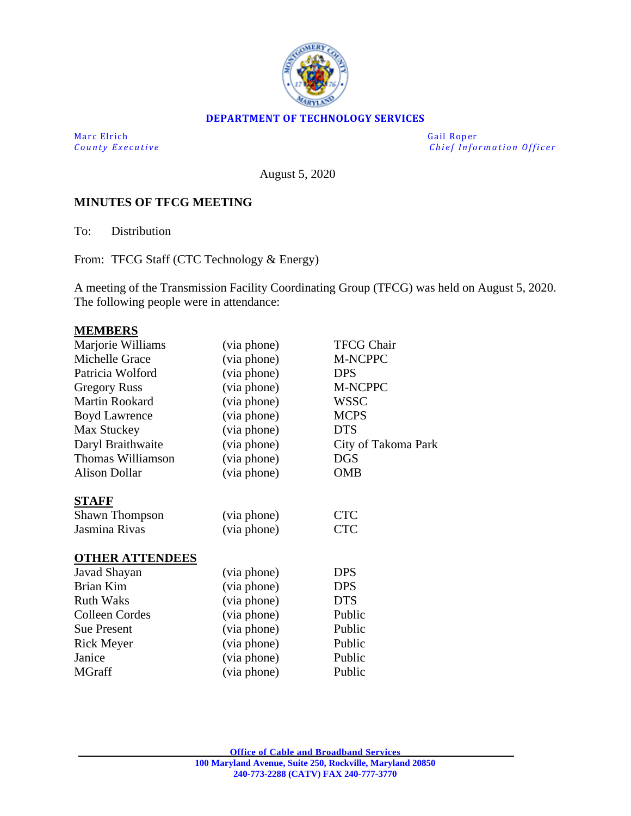

#### **DEPARTMENT OF TECHNOLOGY SERVICES**

Marc Elrich Gail Roper

*County Executive Chief Information O fficer*

August 5, 2020

### **MINUTES OF TFCG MEETING**

To: Distribution

From: TFCG Staff (CTC Technology & Energy)

A meeting of the Transmission Facility Coordinating Group (TFCG) was held on August 5, 2020. The following people were in attendance:

#### **MEMBERS**

| Marjorie Williams      | (via phone) | <b>TFCG Chair</b>   |
|------------------------|-------------|---------------------|
| Michelle Grace         | (via phone) | M-NCPPC             |
| Patricia Wolford       | (via phone) | <b>DPS</b>          |
| <b>Gregory Russ</b>    | (via phone) | M-NCPPC             |
| Martin Rookard         | (via phone) | <b>WSSC</b>         |
| <b>Boyd Lawrence</b>   | (via phone) | <b>MCPS</b>         |
| Max Stuckey            | (via phone) | <b>DTS</b>          |
| Daryl Braithwaite      | (via phone) | City of Takoma Park |
| Thomas Williamson      | (via phone) | <b>DGS</b>          |
| <b>Alison Dollar</b>   | (via phone) | <b>OMB</b>          |
| <b>STAFF</b>           |             |                     |
| <b>Shawn Thompson</b>  | (via phone) | <b>CTC</b>          |
| Jasmina Rivas          | (via phone) | <b>CTC</b>          |
| <b>OTHER ATTENDEES</b> |             |                     |
| Javad Shayan           | (via phone) | <b>DPS</b>          |
| Brian Kim              | (via phone) | <b>DPS</b>          |
| <b>Ruth Waks</b>       | (via phone) | <b>DTS</b>          |
| Colleen Cordes         | (via phone) | Public              |
| <b>Sue Present</b>     | (via phone) | Public              |
| <b>Rick Meyer</b>      | (via phone) | Public              |
| Janice                 | (via phone) | Public              |
| MGraff                 | (via phone) | Public              |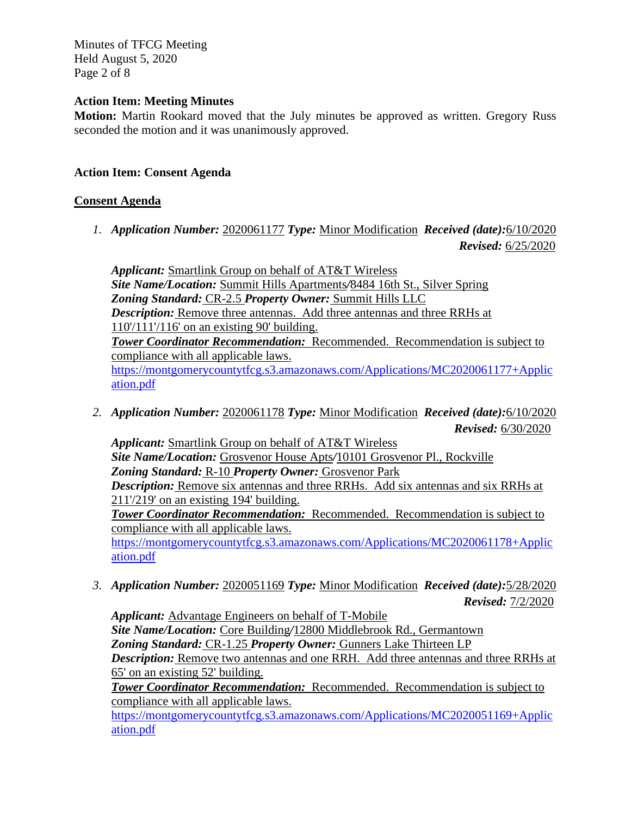Minutes of TFCG Meeting Held August 5, 2020 Page 2 of 8

#### **Action Item: Meeting Minutes**

**Motion:** Martin Rookard moved that the July minutes be approved as written. Gregory Russ seconded the motion and it was unanimously approved.

## **Action Item: Consent Agenda**

### **Consent Agenda**

*1. Application Number:* 2020061177 *Type:* Minor Modification *Received (date):*6/10/2020 *Revised:* 6/25/2020

*Applicant:* Smartlink Group on behalf of AT&T Wireless *Site Name/Location:* Summit Hills Apartments*/*8484 16th St., Silver Spring *Zoning Standard:* CR-2.5 *Property Owner:* Summit Hills LLC *Description:* Remove three antennas. Add three antennas and three RRHs at 110'/111'/116' on an existing 90' building. *Tower Coordinator Recommendation:* Recommended. Recommendation is subject to compliance with all applicable laws. [https://montgomerycountytfcg.s3.amazonaws.com/Applications/MC2020061177+Applic](https://montgomerycountytfcg.s3.amazonaws.com/Applications/MC2020061177+Application.pdf) [ation.pdf](https://montgomerycountytfcg.s3.amazonaws.com/Applications/MC2020061177+Application.pdf)

*2. Application Number:* 2020061178 *Type:* Minor Modification *Received (date):*6/10/2020 *Revised:* 6/30/2020

*Applicant:* Smartlink Group on behalf of AT&T Wireless *Site Name/Location:* Grosvenor House Apts*/*10101 Grosvenor Pl., Rockville *Zoning Standard:* R-10 *Property Owner:* Grosvenor Park *Description:* Remove six antennas and three RRHs. Add six antennas and six RRHs at 211'/219' on an existing 194' building. *Tower Coordinator Recommendation:* Recommended. Recommendation is subject to compliance with all applicable laws.

[https://montgomerycountytfcg.s3.amazonaws.com/Applications/MC2020061178+Applic](https://montgomerycountytfcg.s3.amazonaws.com/Applications/MC2020061178+Application.pdf) [ation.pdf](https://montgomerycountytfcg.s3.amazonaws.com/Applications/MC2020061178+Application.pdf)

*3. Application Number:* 2020051169 *Type:* Minor Modification *Received (date):*5/28/2020 *Revised:* 7/2/2020

*Applicant:* Advantage Engineers on behalf of T-Mobile *Site Name/Location:* Core Building*/*12800 Middlebrook Rd., Germantown *Zoning Standard:* CR-1.25 *Property Owner:* Gunners Lake Thirteen LP *Description:* Remove two antennas and one RRH. Add three antennas and three RRHs at 65' on an existing 52' building.

*Tower Coordinator Recommendation:* Recommended. Recommendation is subject to compliance with all applicable laws.

[https://montgomerycountytfcg.s3.amazonaws.com/Applications/MC2020051169+Applic](https://montgomerycountytfcg.s3.amazonaws.com/Applications/MC2020051169+Application.pdf) [ation.pdf](https://montgomerycountytfcg.s3.amazonaws.com/Applications/MC2020051169+Application.pdf)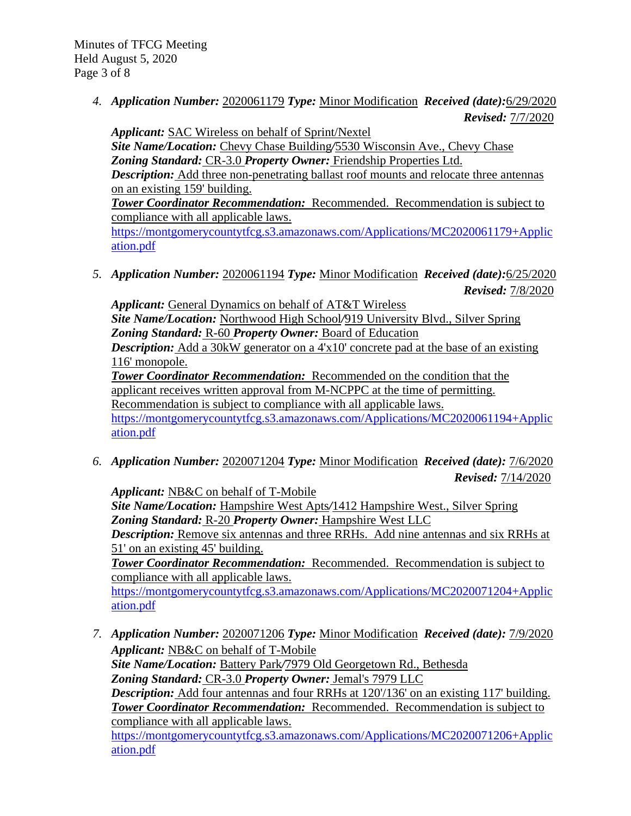*4. Application Number:* 2020061179 *Type:* Minor Modification *Received (date):*6/29/2020 *Revised:* 7/7/2020

*Applicant:* SAC Wireless on behalf of Sprint/Nextel *Site Name/Location:* Chevy Chase Building*/*5530 Wisconsin Ave., Chevy Chase *Zoning Standard:* CR-3.0 *Property Owner:* Friendship Properties Ltd. *Description:* Add three non-penetrating ballast roof mounts and relocate three antennas on an existing 159' building. *Tower Coordinator Recommendation:* Recommended. Recommendation is subject to compliance with all applicable laws. [https://montgomerycountytfcg.s3.amazonaws.com/Applications/MC2020061179+Applic](https://montgomerycountytfcg.s3.amazonaws.com/Applications/MC2020061179+Application.pdf) [ation.pdf](https://montgomerycountytfcg.s3.amazonaws.com/Applications/MC2020061179+Application.pdf)

*5. Application Number:* 2020061194 *Type:* Minor Modification *Received (date):*6/25/2020 *Revised:* 7/8/2020

*Applicant:* General Dynamics on behalf of AT&T Wireless *Site Name/Location:* Northwood High School*/*919 University Blvd., Silver Spring *Zoning Standard:* R-60 *Property Owner:* Board of Education *Description:* Add a 30kW generator on a 4'x10' concrete pad at the base of an existing 116' monopole. *Tower Coordinator Recommendation:* Recommended on the condition that the applicant receives written approval from M-NCPPC at the time of permitting. Recommendation is subject to compliance with all applicable laws. [https://montgomerycountytfcg.s3.amazonaws.com/Applications/MC2020061194+Applic](https://montgomerycountytfcg.s3.amazonaws.com/Applications/MC2020061194+Application.pdf) [ation.pdf](https://montgomerycountytfcg.s3.amazonaws.com/Applications/MC2020061194+Application.pdf)

*6. Application Number:* 2020071204 *Type:* Minor Modification *Received (date):* 7/6/2020 *Revised:* 7/14/2020

*Applicant:* NB&C on behalf of T-Mobile

*Site Name/Location:* Hampshire West Apts*/*1412 Hampshire West., Silver Spring *Zoning Standard:* R-20 *Property Owner:* Hampshire West LLC

*Description:* Remove six antennas and three RRHs. Add nine antennas and six RRHs at 51' on an existing 45' building.

*Tower Coordinator Recommendation:* Recommended. Recommendation is subject to compliance with all applicable laws.

[https://montgomerycountytfcg.s3.amazonaws.com/Applications/MC2020071204+Applic](https://montgomerycountytfcg.s3.amazonaws.com/Applications/MC2020071204+Application.pdf) [ation.pdf](https://montgomerycountytfcg.s3.amazonaws.com/Applications/MC2020071204+Application.pdf)

*7. Application Number:* 2020071206 *Type:* Minor Modification *Received (date):* 7/9/2020 *Applicant:* NB&C on behalf of T-Mobile *Site Name/Location:* Battery Park*/*7979 Old Georgetown Rd., Bethesda *Zoning Standard:* CR-3.0 *Property Owner:* Jemal's 7979 LLC *Description:* Add four antennas and four RRHs at 120/136' on an existing 117' building. *Tower Coordinator Recommendation:* Recommended. Recommendation is subject to compliance with all applicable laws.

[https://montgomerycountytfcg.s3.amazonaws.com/Applications/MC2020071206+Applic](https://montgomerycountytfcg.s3.amazonaws.com/Applications/MC2020071206+Application.pdf) [ation.pdf](https://montgomerycountytfcg.s3.amazonaws.com/Applications/MC2020071206+Application.pdf)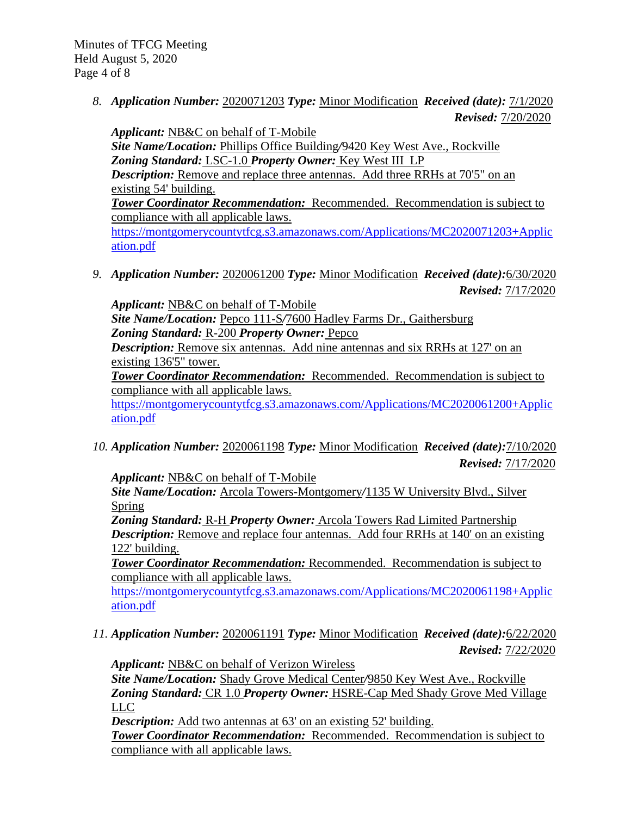*8. Application Number:* 2020071203 *Type:* Minor Modification *Received (date):* 7/1/2020 *Revised:* 7/20/2020

*Applicant:* NB&C on behalf of T-Mobile *Site Name/Location:* Phillips Office Building*/*9420 Key West Ave., Rockville *Zoning Standard:* LSC-1.0 *Property Owner:* Key West III LP *Description:* Remove and replace three antennas. Add three RRHs at 70'5" on an existing 54' building. *Tower Coordinator Recommendation:* Recommended. Recommendation is subject to compliance with all applicable laws. [https://montgomerycountytfcg.s3.amazonaws.com/Applications/MC2020071203+Applic](https://montgomerycountytfcg.s3.amazonaws.com/Applications/MC2020071203+Application.pdf) [ation.pdf](https://montgomerycountytfcg.s3.amazonaws.com/Applications/MC2020071203+Application.pdf)

*9. Application Number:* 2020061200 *Type:* Minor Modification *Received (date):*6/30/2020 *Revised:* 7/17/2020

*Applicant:* NB&C on behalf of T-Mobile *Site Name/Location:* Pepco 111-S*/*7600 Hadley Farms Dr., Gaithersburg *Zoning Standard:* R-200 *Property Owner:* Pepco *Description:* Remove six antennas. Add nine antennas and six RRHs at 127' on an existing 136'5" tower. *Tower Coordinator Recommendation:* Recommended. Recommendation is subject to

compliance with all applicable laws.

[https://montgomerycountytfcg.s3.amazonaws.com/Applications/MC2020061200+Applic](https://montgomerycountytfcg.s3.amazonaws.com/Applications/MC2020061200+Application.pdf) [ation.pdf](https://montgomerycountytfcg.s3.amazonaws.com/Applications/MC2020061200+Application.pdf)

*10. Application Number:* 2020061198 *Type:* Minor Modification *Received (date):*7/10/2020 *Revised:* 7/17/2020

*Applicant:* NB&C on behalf of T-Mobile

*Site Name/Location:* Arcola Towers-Montgomery*/*1135 W University Blvd., Silver Spring

*Zoning Standard:* R-H *Property Owner:* Arcola Towers Rad Limited Partnership *Description:* Remove and replace four antennas. Add four RRHs at 140' on an existing 122' building.

*Tower Coordinator Recommendation:* Recommended. Recommendation is subject to compliance with all applicable laws.

[https://montgomerycountytfcg.s3.amazonaws.com/Applications/MC2020061198+Applic](https://montgomerycountytfcg.s3.amazonaws.com/Applications/MC2020061198+Application.pdf) [ation.pdf](https://montgomerycountytfcg.s3.amazonaws.com/Applications/MC2020061198+Application.pdf)

*11. Application Number:* 2020061191 *Type:* Minor Modification *Received (date):*6/22/2020 *Revised:* 7/22/2020

*Applicant:* NB&C on behalf of Verizon Wireless

*Site Name/Location:* Shady Grove Medical Center*/*9850 Key West Ave., Rockville *Zoning Standard:* CR 1.0 *Property Owner:* HSRE-Cap Med Shady Grove Med Village LLC

*Description:* Add two antennas at 63' on an existing 52' building.

*Tower Coordinator Recommendation:* Recommended. Recommendation is subject to compliance with all applicable laws.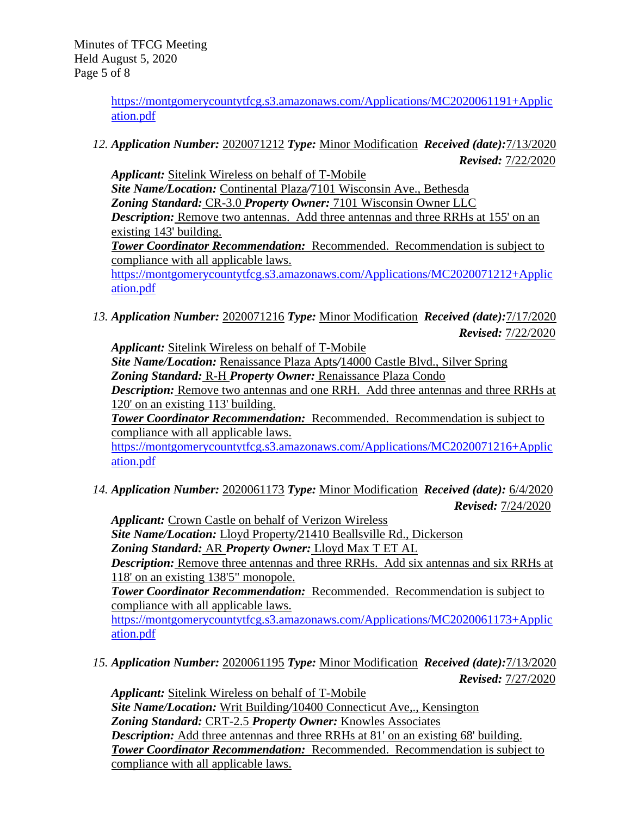[https://montgomerycountytfcg.s3.amazonaws.com/Applications/MC2020061191+Applic](https://montgomerycountytfcg.s3.amazonaws.com/Applications/MC2020061191+Application.pdf) [ation.pdf](https://montgomerycountytfcg.s3.amazonaws.com/Applications/MC2020061191+Application.pdf)

*12. Application Number:* 2020071212 *Type:* Minor Modification *Received (date):*7/13/2020 *Revised:* 7/22/2020

*Applicant:* Sitelink Wireless on behalf of T-Mobile *Site Name/Location:* Continental Plaza*/*7101 Wisconsin Ave., Bethesda *Zoning Standard:* CR-3.0 *Property Owner:* 7101 Wisconsin Owner LLC *Description:* Remove two antennas. Add three antennas and three RRHs at 155' on an existing 143' building. *Tower Coordinator Recommendation:* Recommended. Recommendation is subject to compliance with all applicable laws. [https://montgomerycountytfcg.s3.amazonaws.com/Applications/MC2020071212+Applic](https://montgomerycountytfcg.s3.amazonaws.com/Applications/MC2020071212+Application.pdf) [ation.pdf](https://montgomerycountytfcg.s3.amazonaws.com/Applications/MC2020071212+Application.pdf)

*13. Application Number:* 2020071216 *Type:* Minor Modification *Received (date):*7/17/2020 *Revised:* 7/22/2020

*Applicant:* Sitelink Wireless on behalf of T-Mobile *Site Name/Location:* Renaissance Plaza Apts*/*14000 Castle Blvd., Silver Spring *Zoning Standard:* R-H *Property Owner:* Renaissance Plaza Condo *Description:* Remove two antennas and one RRH. Add three antennas and three RRHs at 120' on an existing 113' building.

*Tower Coordinator Recommendation:* Recommended. Recommendation is subject to compliance with all applicable laws.

[https://montgomerycountytfcg.s3.amazonaws.com/Applications/MC2020071216+Applic](https://montgomerycountytfcg.s3.amazonaws.com/Applications/MC2020071216+Application.pdf) [ation.pdf](https://montgomerycountytfcg.s3.amazonaws.com/Applications/MC2020071216+Application.pdf)

*14. Application Number:* 2020061173 *Type:* Minor Modification *Received (date):* 6/4/2020 *Revised:* 7/24/2020

*Applicant:* Crown Castle on behalf of Verizon Wireless *Site Name/Location:* Lloyd Property*/*21410 Beallsville Rd., Dickerson *Zoning Standard:* AR *Property Owner:* Lloyd Max T ET AL

*Description:* Remove three antennas and three RRHs. Add six antennas and six RRHs at 118' on an existing 138'5" monopole.

*Tower Coordinator Recommendation:* Recommended. Recommendation is subject to compliance with all applicable laws.

[https://montgomerycountytfcg.s3.amazonaws.com/Applications/MC2020061173+Applic](https://montgomerycountytfcg.s3.amazonaws.com/Applications/MC2020061173+Application.pdf) [ation.pdf](https://montgomerycountytfcg.s3.amazonaws.com/Applications/MC2020061173+Application.pdf)

*15. Application Number:* 2020061195 *Type:* Minor Modification *Received (date):*7/13/2020 *Revised:* 7/27/2020

*Applicant:* Sitelink Wireless on behalf of T-Mobile *Site Name/Location:* Writ Building*/*10400 Connecticut Ave,., Kensington *Zoning Standard:* CRT-2.5 *Property Owner:* Knowles Associates *Description:* Add three antennas and three RRHs at 81' on an existing 68' building. *Tower Coordinator Recommendation:* Recommended. Recommendation is subject to compliance with all applicable laws.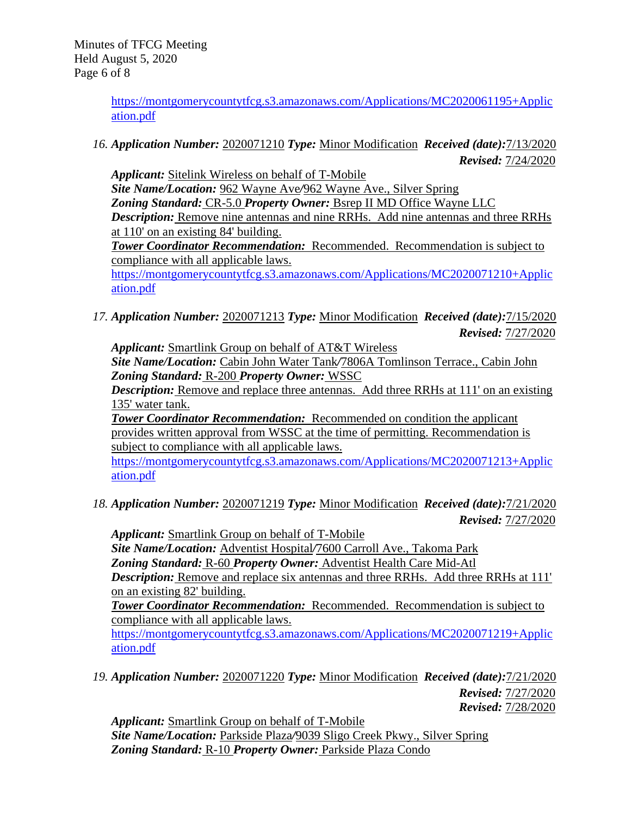[https://montgomerycountytfcg.s3.amazonaws.com/Applications/MC2020061195+Applic](https://montgomerycountytfcg.s3.amazonaws.com/Applications/MC2020061195+Application.pdf) [ation.pdf](https://montgomerycountytfcg.s3.amazonaws.com/Applications/MC2020061195+Application.pdf)

*16. Application Number:* 2020071210 *Type:* Minor Modification *Received (date):*7/13/2020 *Revised:* 7/24/2020

*Applicant:* Sitelink Wireless on behalf of T-Mobile *Site Name/Location:* 962 Wayne Ave*/*962 Wayne Ave., Silver Spring *Zoning Standard:* CR-5.0 *Property Owner:* Bsrep II MD Office Wayne LLC *Description:* Remove nine antennas and nine RRHs. Add nine antennas and three RRHs at 110' on an existing 84' building. *Tower Coordinator Recommendation:* Recommended. Recommendation is subject to compliance with all applicable laws. [https://montgomerycountytfcg.s3.amazonaws.com/Applications/MC2020071210+Applic](https://montgomerycountytfcg.s3.amazonaws.com/Applications/MC2020071210+Application.pdf) [ation.pdf](https://montgomerycountytfcg.s3.amazonaws.com/Applications/MC2020071210+Application.pdf)

*17. Application Number:* 2020071213 *Type:* Minor Modification *Received (date):*7/15/2020 *Revised:* 7/27/2020

*Applicant:* Smartlink Group on behalf of AT&T Wireless

*Site Name/Location:* Cabin John Water Tank*/*7806A Tomlinson Terrace., Cabin John *Zoning Standard:* R-200 *Property Owner:* WSSC

*Description:* Remove and replace three antennas. Add three RRHs at 111' on an existing 135' water tank.

**Tower Coordinator Recommendation:** Recommended on condition the applicant provides written approval from WSSC at the time of permitting. Recommendation is subject to compliance with all applicable laws.

[https://montgomerycountytfcg.s3.amazonaws.com/Applications/MC2020071213+Applic](https://montgomerycountytfcg.s3.amazonaws.com/Applications/MC2020071213+Application.pdf) [ation.pdf](https://montgomerycountytfcg.s3.amazonaws.com/Applications/MC2020071213+Application.pdf)

*18. Application Number:* 2020071219 *Type:* Minor Modification *Received (date):*7/21/2020 *Revised:* 7/27/2020

*Applicant:* Smartlink Group on behalf of T-Mobile *Site Name/Location:* Adventist Hospital*/*7600 Carroll Ave., Takoma Park *Zoning Standard:* R-60 *Property Owner:* Adventist Health Care Mid-Atl **Description:** Remove and replace six antennas and three RRHs. Add three RRHs at 111' on an existing 82' building. *Tower Coordinator Recommendation:* Recommended. Recommendation is subject to

compliance with all applicable laws.

[https://montgomerycountytfcg.s3.amazonaws.com/Applications/MC2020071219+Applic](https://montgomerycountytfcg.s3.amazonaws.com/Applications/MC2020071219+Application.pdf) [ation.pdf](https://montgomerycountytfcg.s3.amazonaws.com/Applications/MC2020071219+Application.pdf)

*19. Application Number:* 2020071220 *Type:* Minor Modification *Received (date):*7/21/2020 *Revised:* 7/27/2020 *Revised:* 7/28/2020

*Applicant:* Smartlink Group on behalf of T-Mobile *Site Name/Location:* Parkside Plaza*/*9039 Sligo Creek Pkwy., Silver Spring *Zoning Standard:* R-10 *Property Owner:* Parkside Plaza Condo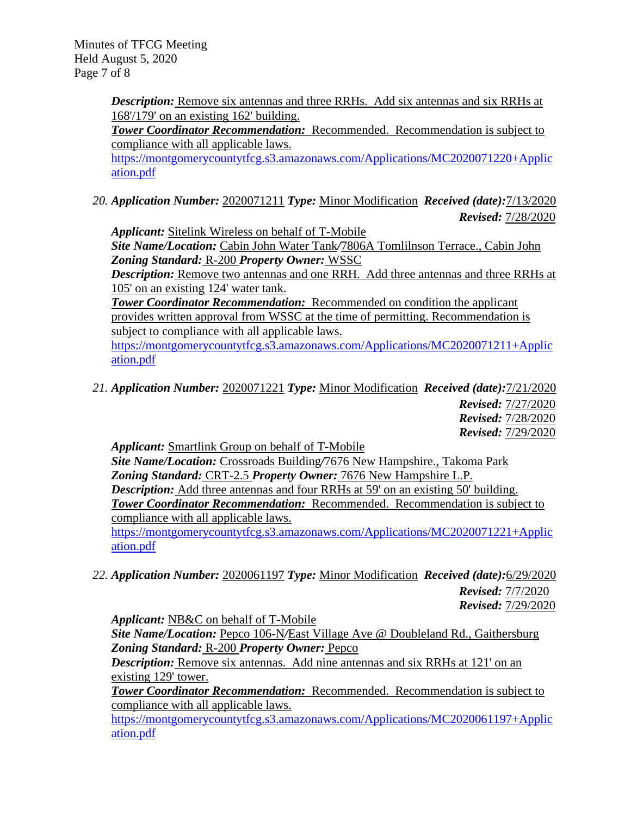Minutes of TFCG Meeting Held August 5, 2020 Page 7 of 8

> **Description:** Remove six antennas and three RRHs. Add six antennas and six RRHs at 168'/179' on an existing 162' building.

> *Tower Coordinator Recommendation:* Recommended. Recommendation is subject to compliance with all applicable laws.

[https://montgomerycountytfcg.s3.amazonaws.com/Applications/MC2020071220+Applic](https://montgomerycountytfcg.s3.amazonaws.com/Applications/MC2020071220+Application.pdf) [ation.pdf](https://montgomerycountytfcg.s3.amazonaws.com/Applications/MC2020071220+Application.pdf)

*20. Application Number:* 2020071211 *Type:* Minor Modification *Received (date):*7/13/2020 *Revised:* 7/28/2020

*Applicant:* Sitelink Wireless on behalf of T-Mobile

*Site Name/Location:* Cabin John Water Tank*/*7806A Tomlilnson Terrace., Cabin John *Zoning Standard:* R-200 *Property Owner:* WSSC

*Description:* Remove two antennas and one RRH. Add three antennas and three RRHs at 105' on an existing 124' water tank.

**Tower Coordinator Recommendation:** Recommended on condition the applicant provides written approval from WSSC at the time of permitting. Recommendation is subject to compliance with all applicable laws.

[https://montgomerycountytfcg.s3.amazonaws.com/Applications/MC2020071211+Applic](https://montgomerycountytfcg.s3.amazonaws.com/Applications/MC2020071211+Application.pdf) [ation.pdf](https://montgomerycountytfcg.s3.amazonaws.com/Applications/MC2020071211+Application.pdf)

*21. Application Number:* 2020071221 *Type:* Minor Modification *Received (date):*7/21/2020 *Revised:* 7/27/2020 *Revised:* 7/28/2020 *Revised:* 7/29/2020

*Applicant:* Smartlink Group on behalf of T-Mobile

*Site Name/Location:* Crossroads Building*/*7676 New Hampshire., Takoma Park *Zoning Standard:* CRT-2.5 *Property Owner:* 7676 New Hampshire L.P. *Description:* Add three antennas and four RRHs at 59' on an existing 50' building. *Tower Coordinator Recommendation:* Recommended. Recommendation is subject to compliance with all applicable laws.

[https://montgomerycountytfcg.s3.amazonaws.com/Applications/MC2020071221+Applic](https://montgomerycountytfcg.s3.amazonaws.com/Applications/MC2020071221+Application.pdf) [ation.pdf](https://montgomerycountytfcg.s3.amazonaws.com/Applications/MC2020071221+Application.pdf)

*22. Application Number:* 2020061197 *Type:* Minor Modification *Received (date):*6/29/2020 *Revised:* 7/7/2020 *Revised:* 7/29/2020

*Applicant:* NB&C on behalf of T-Mobile

*Site Name/Location:* Pepco 106-N*/*East Village Ave @ Doubleland Rd., Gaithersburg *Zoning Standard:* R-200 *Property Owner:* Pepco

*Description:* Remove six antennas. Add nine antennas and six RRHs at 121' on an existing 129' tower.

*Tower Coordinator Recommendation:* Recommended. Recommendation is subject to compliance with all applicable laws.

[https://montgomerycountytfcg.s3.amazonaws.com/Applications/MC2020061197+Applic](https://montgomerycountytfcg.s3.amazonaws.com/Applications/MC2020061197+Application.pdf) [ation.pdf](https://montgomerycountytfcg.s3.amazonaws.com/Applications/MC2020061197+Application.pdf)